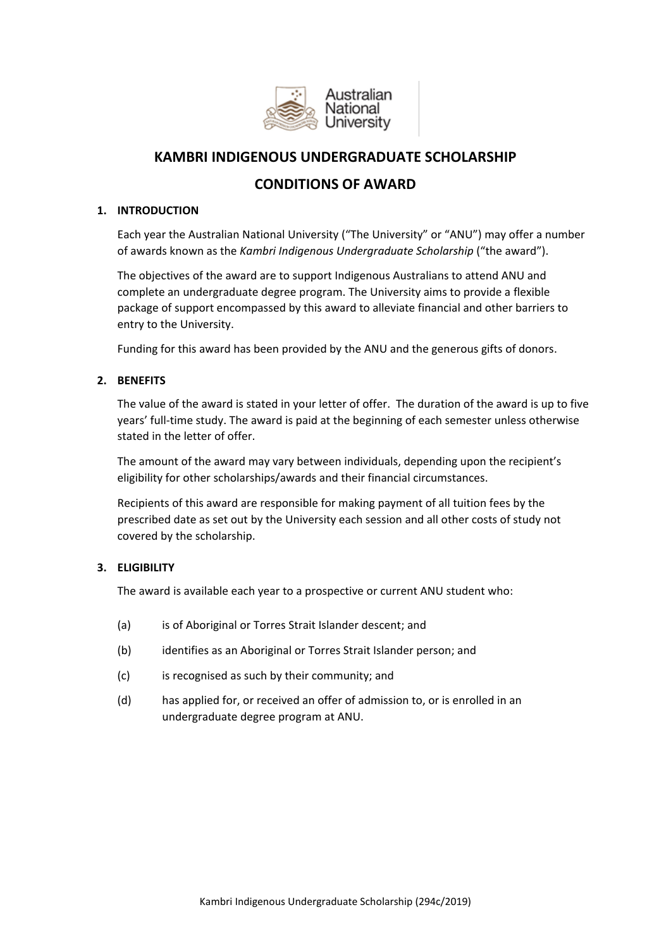

# **KAMBRI INDIGENOUS UNDERGRADUATE SCHOLARSHIP**

# **CONDITIONS OF AWARD**

## **1. INTRODUCTION**

Each year the Australian National University ("The University" or "ANU") may offer a number of awards known as the *Kambri Indigenous Undergraduate Scholarship* ("the award").

The objectives of the award are to support Indigenous Australians to attend ANU and complete an undergraduate degree program. The University aims to provide a flexible package of support encompassed by this award to alleviate financial and other barriers to entry to the University.

Funding for this award has been provided by the ANU and the generous gifts of donors.

## **2. BENEFITS**

The value of the award is stated in your letter of offer. The duration of the award is up to five years' full-time study. The award is paid at the beginning of each semester unless otherwise stated in the letter of offer.

The amount of the award may vary between individuals, depending upon the recipient's eligibility for other scholarships/awards and their financial circumstances.

Recipients of this award are responsible for making payment of all tuition fees by the prescribed date as set out by the University each session and all other costs of study not covered by the scholarship.

## **3. ELIGIBILITY**

The award is available each year to a prospective or current ANU student who:

- (a) is of Aboriginal or Torres Strait Islander descent; and
- (b) identifies as an Aboriginal or Torres Strait Islander person; and
- (c) is recognised as such by their community; and
- (d) has applied for, or received an offer of admission to, or is enrolled in an undergraduate degree program at ANU.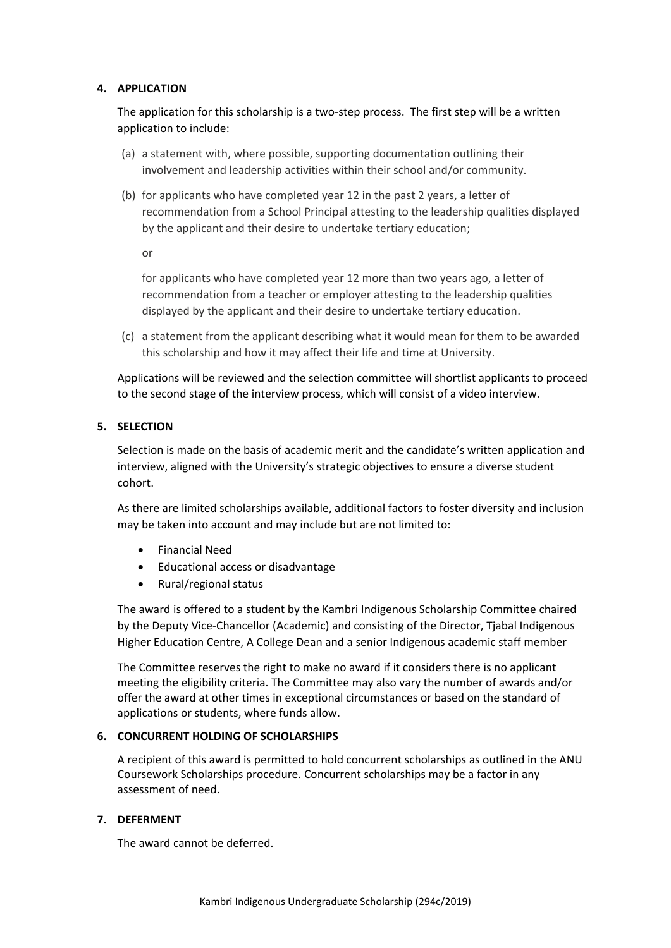### **4. APPLICATION**

The application for this scholarship is a two-step process. The first step will be a written application to include:

- (a) a statement with, where possible, supporting documentation outlining their involvement and leadership activities within their school and/or community.
- (b) for applicants who have completed year 12 in the past 2 years, a letter of recommendation from a School Principal attesting to the leadership qualities displayed by the applicant and their desire to undertake tertiary education;

or

for applicants who have completed year 12 more than two years ago, a letter of recommendation from a teacher or employer attesting to the leadership qualities displayed by the applicant and their desire to undertake tertiary education.

(c) a statement from the applicant describing what it would mean for them to be awarded this scholarship and how it may affect their life and time at University.

Applications will be reviewed and the selection committee will shortlist applicants to proceed to the second stage of the interview process, which will consist of a video interview.

## **5. SELECTION**

Selection is made on the basis of academic merit and the candidate's written application and interview, aligned with the University's strategic objectives to ensure a diverse student cohort.

As there are limited scholarships available, additional factors to foster diversity and inclusion may be taken into account and may include but are not limited to:

- **•** Financial Need
- Educational access or disadvantage
- Rural/regional status

The award is offered to a student by the Kambri Indigenous Scholarship Committee chaired by the Deputy Vice-Chancellor (Academic) and consisting of the Director, Tjabal Indigenous Higher Education Centre, A College Dean and a senior Indigenous academic staff member

The Committee reserves the right to make no award if it considers there is no applicant meeting the eligibility criteria. The Committee may also vary the number of awards and/or offer the award at other times in exceptional circumstances or based on the standard of applications or students, where funds allow.

## **6. CONCURRENT HOLDING OF SCHOLARSHIPS**

A recipient of this award is permitted to hold concurrent scholarships as outlined in the ANU Coursework Scholarships procedure. Concurrent scholarships may be a factor in any assessment of need.

#### **7. DEFERMENT**

The award cannot be deferred.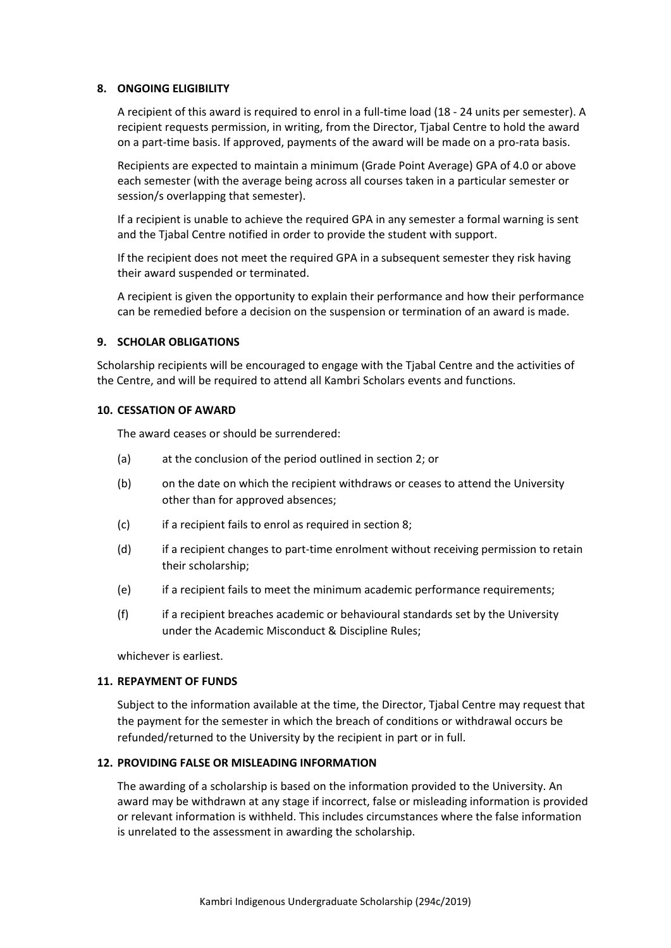### **8. ONGOING ELIGIBILITY**

A recipient of this award is required to enrol in a full-time load (18 - 24 units per semester). A recipient requests permission, in writing, from the Director, Tjabal Centre to hold the award on a part-time basis. If approved, payments of the award will be made on a pro-rata basis.

Recipients are expected to maintain a minimum (Grade Point Average) GPA of 4.0 or above each semester (with the average being across all courses taken in a particular semester or session/s overlapping that semester).

If a recipient is unable to achieve the required GPA in any semester a formal warning is sent and the Tjabal Centre notified in order to provide the student with support.

If the recipient does not meet the required GPA in a subsequent semester they risk having their award suspended or terminated.

A recipient is given the opportunity to explain their performance and how their performance can be remedied before a decision on the suspension or termination of an award is made.

### **9. SCHOLAR OBLIGATIONS**

Scholarship recipients will be encouraged to engage with the Tjabal Centre and the activities of the Centre, and will be required to attend all Kambri Scholars events and functions.

### **10. CESSATION OF AWARD**

The award ceases or should be surrendered:

- (a) at the conclusion of the period outlined in section 2; or
- (b) on the date on which the recipient withdraws or ceases to attend the University other than for approved absences;
- (c) if a recipient fails to enrol as required in section 8;
- (d) if a recipient changes to part-time enrolment without receiving permission to retain their scholarship;
- (e) if a recipient fails to meet the minimum academic performance requirements;
- (f) if a recipient breaches academic or behavioural standards set by the University under the Academic Misconduct & Discipline Rules;

whichever is earliest.

#### **11. REPAYMENT OF FUNDS**

Subject to the information available at the time, the Director, Tjabal Centre may request that the payment for the semester in which the breach of conditions or withdrawal occurs be refunded/returned to the University by the recipient in part or in full.

#### **12. PROVIDING FALSE OR MISLEADING INFORMATION**

The awarding of a scholarship is based on the information provided to the University. An award may be withdrawn at any stage if incorrect, false or misleading information is provided or relevant information is withheld. This includes circumstances where the false information is unrelated to the assessment in awarding the scholarship.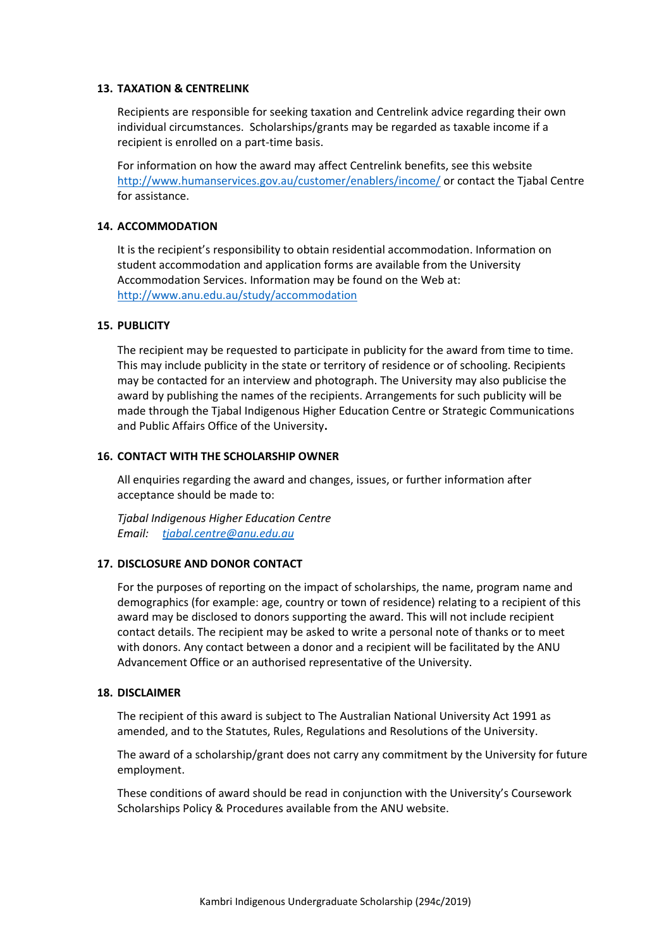#### **13. TAXATION & CENTRELINK**

Recipients are responsible for seeking taxation and Centrelink advice regarding their own individual circumstances. Scholarships/grants may be regarded as taxable income if a recipient is enrolled on a part-time basis.

For information on how the award may affect Centrelink benefits, see this website <http://www.humanservices.gov.au/customer/enablers/income/> or contact the Tjabal Centre for assistance.

## **14. ACCOMMODATION**

It is the recipient's responsibility to obtain residential accommodation. Information on student accommodation and application forms are available from the University Accommodation Services. Information may be found on the Web at: <http://www.anu.edu.au/study/accommodation>

## **15. PUBLICITY**

The recipient may be requested to participate in publicity for the award from time to time. This may include publicity in the state or territory of residence or of schooling. Recipients may be contacted for an interview and photograph. The University may also publicise the award by publishing the names of the recipients. Arrangements for such publicity will be made through the Tjabal Indigenous Higher Education Centre or Strategic Communications and Public Affairs Office of the University**.**

## **16. CONTACT WITH THE SCHOLARSHIP OWNER**

All enquiries regarding the award and changes, issues, or further information after acceptance should be made to:

*Tjabal Indigenous Higher Education Centre Email: [tjabal.centre@anu.edu.au](mailto:tjabal.centre@anu.edu.au)*

## **17. DISCLOSURE AND DONOR CONTACT**

For the purposes of reporting on the impact of scholarships, the name, program name and demographics (for example: age, country or town of residence) relating to a recipient of this award may be disclosed to donors supporting the award. This will not include recipient contact details. The recipient may be asked to write a personal note of thanks or to meet with donors. Any contact between a donor and a recipient will be facilitated by the ANU Advancement Office or an authorised representative of the University.

## **18. DISCLAIMER**

The recipient of this award is subject to The Australian National University Act 1991 as amended, and to the Statutes, Rules, Regulations and Resolutions of the University.

The award of a scholarship/grant does not carry any commitment by the University for future employment.

These conditions of award should be read in conjunction with the University's Coursework Scholarships Policy & Procedures available from the ANU website.